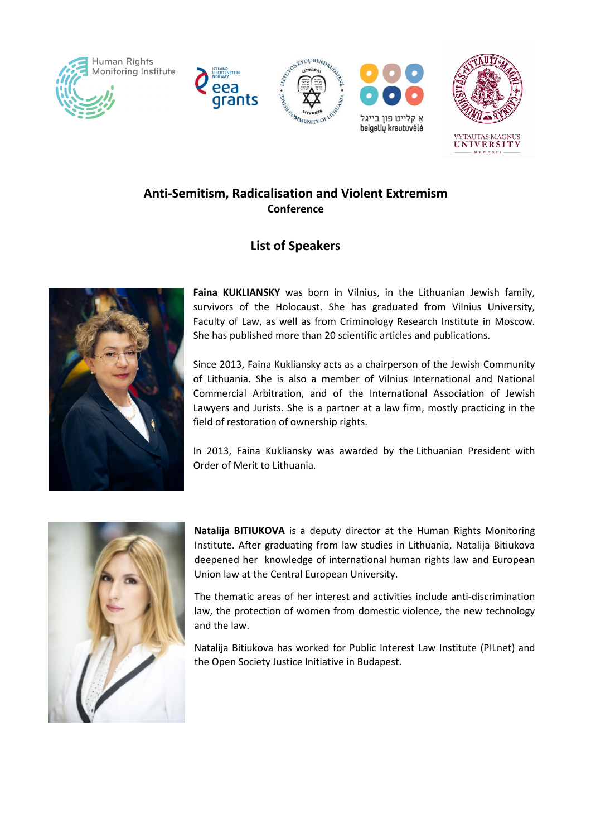







## Anti-Semitism, Radicalisation and Violent Extremism **Conference**

## List of Speakers



Faina KUKLIANSKY was born in Vilnius, in the Lithuanian Jewish family, survivors of the Holocaust. She has graduated from Vilnius University, Faculty of Law, as well as from Criminology Research Institute in Moscow. She has published more than 20 scientific articles and publications.

Since 2013, Faina Kukliansky acts as a chairperson of the Jewish Community of Lithuania. She is also a member of Vilnius International and National Commercial Arbitration, and of the International Association of Jewish Lawyers and Jurists. She is a partner at a law firm, mostly practicing in the field of restoration of ownership rights.

In 2013, Faina Kukliansky was awarded by the Lithuanian President with Order of Merit to Lithuania.



Natalija BITIUKOVA is a deputy director at the Human Rights Monitoring Institute. After graduating from law studies in Lithuania, Natalija Bitiukova deepened her knowledge of international human rights law and European Union law at the Central European University.

The thematic areas of her interest and activities include anti-discrimination law, the protection of women from domestic violence, the new technology and the law.

Natalija Bitiukova has worked for Public Interest Law Institute (PILnet) and the Open Society Justice Initiative in Budapest.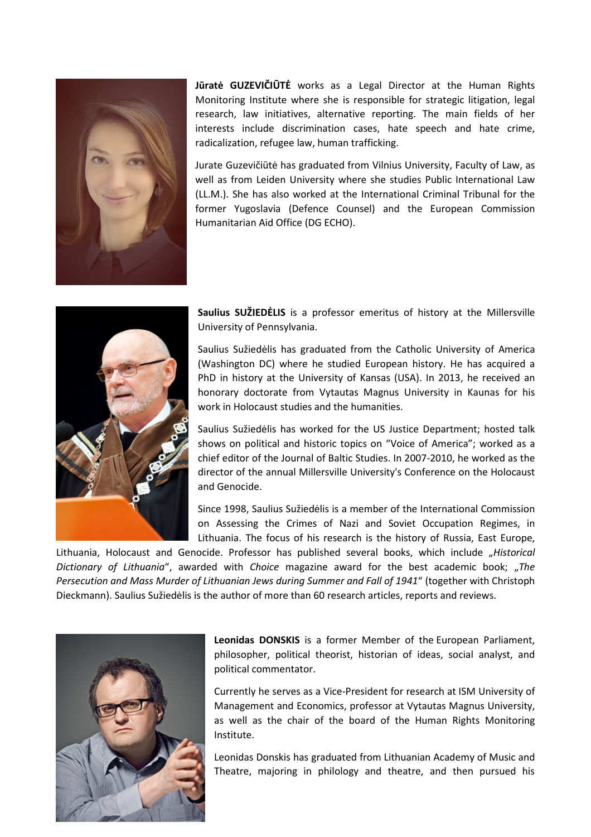

Jūratė GUZEVIČIŪTĖ works as a Legal Director at the Human Rights Monitoring Institute where she is responsible for strategic litigation, legal research, law initiatives, alternative reporting. The main fields of her interests include discrimination cases, hate speech and hate crime, radicalization, refugee law, human trafficking.

Jurate Guzevičiūtė has graduated from Vilnius University, Faculty of Law, as well as from Leiden University where she studies Public International Law (LL.M.). She has also worked at the International Criminal Tribunal for the former Yugoslavia (Defence Counsel) and the European Commission Humanitarian Aid Office (DG ECHO).



Saulius SUŽIEDĖLIS is a professor emeritus of history at the Millersville University of Pennsylvania.

Saulius Sužiedėlis has graduated from the Catholic University of America (Washington DC) where he studied European history. He has acquired a PhD in history at the University of Kansas (USA). In 2013, he received an honorary doctorate from Vytautas Magnus University in Kaunas for his work in Holocaust studies and the humanities.

Saulius Sužiedėlis has worked for the US Justice Department; hosted talk shows on political and historic topics on "Voice of America"; worked as a chief editor of the Journal of Baltic Studies. In 2007-2010, he worked as the director of the annual Millersville University's Conference on the Holocaust and Genocide.

Since 1998, Saulius Sužiedėlis is a member of the International Commission on Assessing the Crimes of Nazi and Soviet Occupation Regimes, in Lithuania. The focus of his research is the history of Russia, East Europe,

Lithuania, Holocaust and Genocide. Professor has published several books, which include "Historical Dictionary of Lithuania", awarded with Choice magazine award for the best academic book; "The Persecution and Mass Murder of Lithuanian Jews during Summer and Fall of 1941" (together with Christoph Dieckmann). Saulius Sužiedėlis is the author of more than 60 research articles, reports and reviews.



Leonidas DONSKIS is a former Member of the European Parliament, philosopher, political theorist, historian of ideas, social analyst, and political commentator.

Currently he serves as a Vice-President for research at ISM University of Management and Economics, professor at Vytautas Magnus University, as well as the chair of the board of the Human Rights Monitoring Institute.

Leonidas Donskis has graduated from Lithuanian Academy of Music and Theatre, majoring in philology and theatre, and then pursued his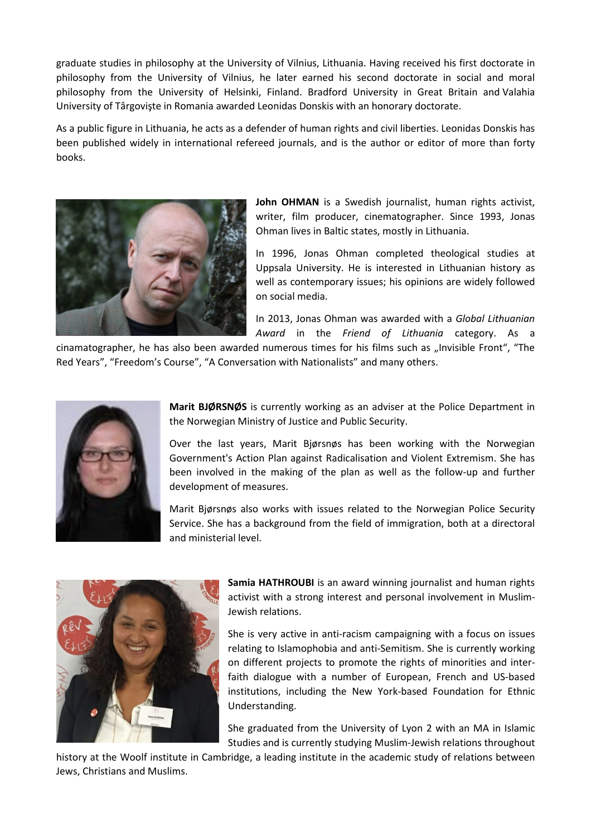graduate studies in philosophy at the University of Vilnius, Lithuania. Having received his first doctorate in philosophy from the University of Vilnius, he later earned his second doctorate in social and moral philosophy from the University of Helsinki, Finland. Bradford University in Great Britain and Valahia University of Târgovişte in Romania awarded Leonidas Donskis with an honorary doctorate.

As a public figure in Lithuania, he acts as a defender of human rights and civil liberties. Leonidas Donskis has been published widely in international refereed journals, and is the author or editor of more than forty books.



John OHMAN is a Swedish journalist, human rights activist, writer, film producer, cinematographer. Since 1993, Jonas Ohman lives in Baltic states, mostly in Lithuania.

In 1996, Jonas Ohman completed theological studies at Uppsala University. He is interested in Lithuanian history as well as contemporary issues; his opinions are widely followed on social media.

In 2013, Jonas Ohman was awarded with a Global Lithuanian Award in the Friend of Lithuania category. As a

cinamatographer, he has also been awarded numerous times for his films such as "Invisible Front", "The Red Years", "Freedom's Course", "A Conversation with Nationalists" and many others.



Marit BJØRSNØS is currently working as an adviser at the Police Department in the Norwegian Ministry of Justice and Public Security.

Over the last years, Marit Bjørsnøs has been working with the Norwegian Government's Action Plan against Radicalisation and Violent Extremism. She has been involved in the making of the plan as well as the follow-up and further development of measures.

Marit Bjørsnøs also works with issues related to the Norwegian Police Security Service. She has a background from the field of immigration, both at a directoral and ministerial level.



Samia HATHROUBI is an award winning journalist and human rights activist with a strong interest and personal involvement in Muslim-Jewish relations.

She is very active in anti-racism campaigning with a focus on issues relating to Islamophobia and anti-Semitism. She is currently working on different projects to promote the rights of minorities and interfaith dialogue with a number of European, French and US-based institutions, including the New York-based Foundation for Ethnic Understanding.

She graduated from the University of Lyon 2 with an MA in Islamic Studies and is currently studying Muslim-Jewish relations throughout

history at the Woolf institute in Cambridge, a leading institute in the academic study of relations between Jews, Christians and Muslims.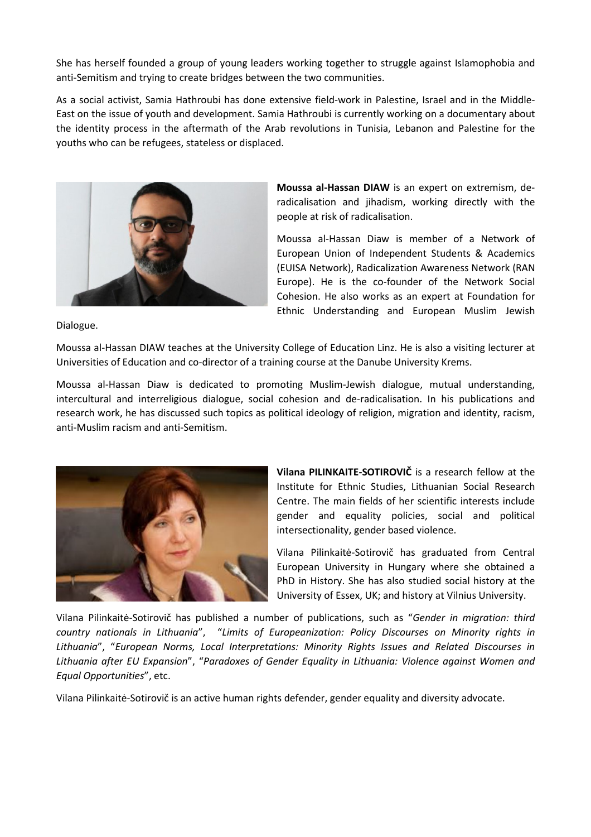She has herself founded a group of young leaders working together to struggle against Islamophobia and anti-Semitism and trying to create bridges between the two communities.

As a social activist, Samia Hathroubi has done extensive field-work in Palestine, Israel and in the Middle-East on the issue of youth and development. Samia Hathroubi is currently working on a documentary about the identity process in the aftermath of the Arab revolutions in Tunisia, Lebanon and Palestine for the youths who can be refugees, stateless or displaced.



Moussa al-Hassan DIAW is an expert on extremism, deradicalisation and jihadism, working directly with the people at risk of radicalisation.

Moussa al-Hassan Diaw is member of a Network of European Union of Independent Students & Academics (EUISA Network), Radicalization Awareness Network (RAN Europe). He is the co-founder of the Network Social Cohesion. He also works as an expert at Foundation for Ethnic Understanding and European Muslim Jewish

Dialogue.

Moussa al-Hassan DIAW teaches at the University College of Education Linz. He is also a visiting lecturer at Universities of Education and co-director of a training course at the Danube University Krems.

Moussa al-Hassan Diaw is dedicated to promoting Muslim-Jewish dialogue, mutual understanding, intercultural and interreligious dialogue, social cohesion and de-radicalisation. In his publications and research work, he has discussed such topics as political ideology of religion, migration and identity, racism, anti-Muslim racism and anti-Semitism.



Vilana PILINKAITE-SOTIROVIČ is a research fellow at the Institute for Ethnic Studies, Lithuanian Social Research Centre. The main fields of her scientific interests include gender and equality policies, social and political intersectionality, gender based violence.

Vilana Pilinkaitė-Sotirovič has graduated from Central European University in Hungary where she obtained a PhD in History. She has also studied social history at the University of Essex, UK; and history at Vilnius University.

Vilana Pilinkaitė-Sotirovič has published a number of publications, such as "Gender in migration: third country nationals in Lithuania", "Limits of Europeanization: Policy Discourses on Minority rights in Lithuania", "European Norms, Local Interpretations: Minority Rights Issues and Related Discourses in Lithuania after EU Expansion", "Paradoxes of Gender Equality in Lithuania: Violence against Women and Equal Opportunities", etc.

Vilana Pilinkaitė-Sotirovič is an active human rights defender, gender equality and diversity advocate.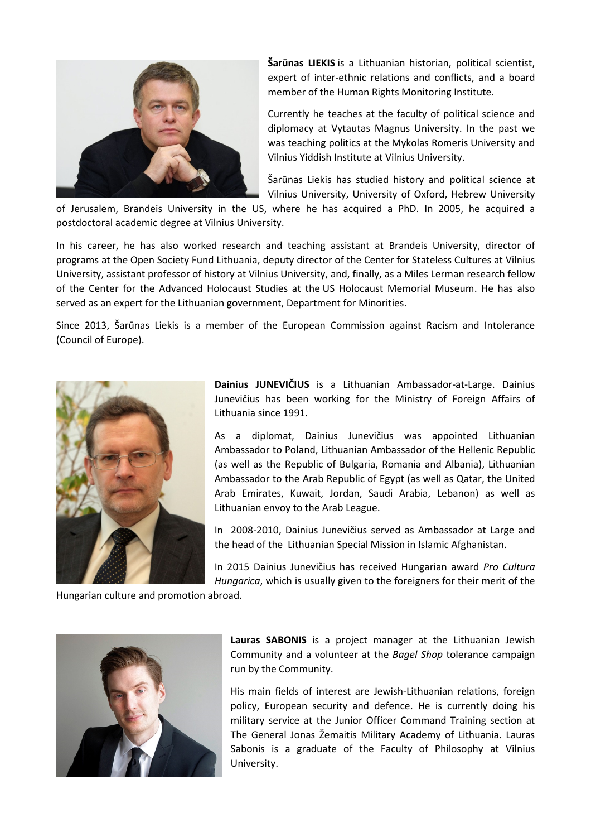

Šarūnas LIEKIS is a Lithuanian historian, political scientist, expert of inter-ethnic relations and conflicts, and a board member of the Human Rights Monitoring Institute.

Currently he teaches at the faculty of political science and diplomacy at Vytautas Magnus University. In the past we was teaching politics at the Mykolas Romeris University and Vilnius Yiddish Institute at Vilnius University.

Šarūnas Liekis has studied history and political science at Vilnius University, University of Oxford, Hebrew University

of Jerusalem, Brandeis University in the US, where he has acquired a PhD. In 2005, he acquired a postdoctoral academic degree at Vilnius University.

In his career, he has also worked research and teaching assistant at Brandeis University, director of programs at the Open Society Fund Lithuania, deputy director of the Center for Stateless Cultures at Vilnius University, assistant professor of history at Vilnius University, and, finally, as a Miles Lerman research fellow of the Center for the Advanced Holocaust Studies at the US Holocaust Memorial Museum. He has also served as an expert for the Lithuanian government, Department for Minorities.

Since 2013, Šarūnas Liekis is a member of the European Commission against Racism and Intolerance (Council of Europe).



Dainius JUNEVIČIUS is a Lithuanian Ambassador-at-Large. Dainius Junevičius has been working for the Ministry of Foreign Affairs of Lithuania since 1991.

As a diplomat, Dainius Junevičius was appointed Lithuanian Ambassador to Poland, Lithuanian Ambassador of the Hellenic Republic (as well as the Republic of Bulgaria, Romania and Albania), Lithuanian Ambassador to the Arab Republic of Egypt (as well as Qatar, the United Arab Emirates, Kuwait, Jordan, Saudi Arabia, Lebanon) as well as Lithuanian envoy to the Arab League.

In 2008-2010, Dainius Junevičius served as Ambassador at Large and the head of the Lithuanian Special Mission in Islamic Afghanistan.

In 2015 Dainius Junevičius has received Hungarian award Pro Cultura Hungarica, which is usually given to the foreigners for their merit of the

Hungarian culture and promotion abroad.



Lauras SABONIS is a project manager at the Lithuanian Jewish Community and a volunteer at the Bagel Shop tolerance campaign run by the Community.

His main fields of interest are Jewish-Lithuanian relations, foreign policy, European security and defence. He is currently doing his military service at the Junior Officer Command Training section at The General Jonas Žemaitis Military Academy of Lithuania. Lauras Sabonis is a graduate of the Faculty of Philosophy at Vilnius University.